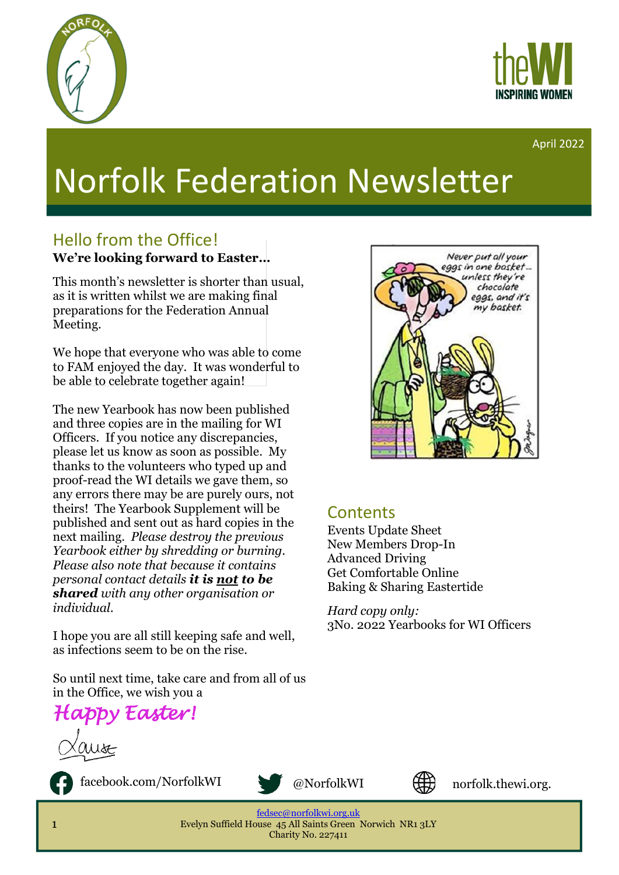



#### April 2022

# Norfolk Federation Newsletter

#### Hello from the Office! **We're looking forward to Easter…**

This month's newsletter is shorter than usual, as it is written whilst we are making final preparations for the Federation Annual Meeting.

We hope that everyone who was able to come to FAM enjoyed the day. It was wonderful to be able to celebrate together again!

The new Yearbook has now been published and three copies are in the mailing for WI Officers. If you notice any discrepancies, please let us know as soon as possible. My thanks to the volunteers who typed up and proof-read the WI details we gave them, so any errors there may be are purely ours, not theirs! The Yearbook Supplement will be published and sent out as hard copies in the next mailing. *Please destroy the previous Yearbook either by shredding or burning. Please also note that because it contains personal contact details it is not to be shared with any other organisation or individual.*

I hope you are all still keeping safe and well, as infections seem to be on the rise.

So until next time, take care and from all of us in the Office, we wish you a

*Happy Easter!*



facebook.com/NorfolkWI @NorfolkWI





uk

norfolk.thewi.org.

[fedsec@norfolkwi.org.uk](mailto:fedsec@norfolkwi.org.uk)  Evelyn Suffield House 45 All Saints Green Norwich NR1 3LY Charity No. 227411



#### **Contents**

Events Update Sheet New Members Drop-In Advanced Driving Get Comfortable Online Baking & Sharing Eastertide

*Hard copy only:* 3No. 2022 Yearbooks for WI Officers